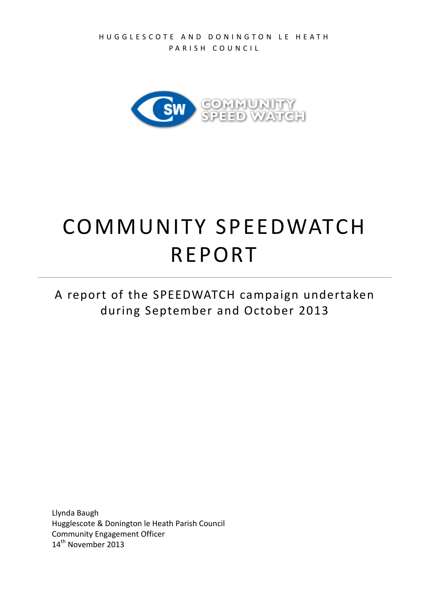

# COMMUNITY SPEEDWATCH REPORT

A report of the SPEEDWATCH campaign undertaken during September and October 2013

Llynda Baugh Hugglescote & Donington le Heath Parish Council Community Engagement Officer 14<sup>th</sup> November 2013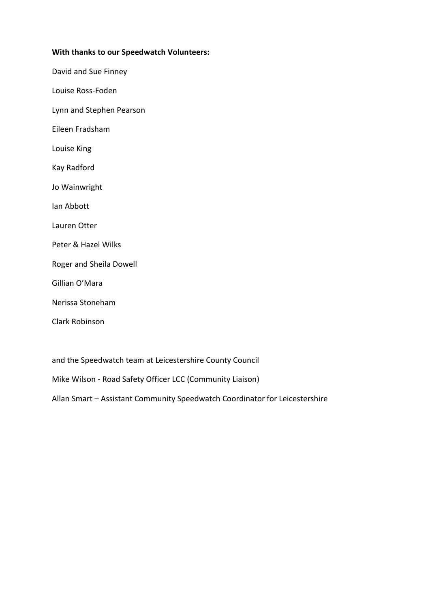#### **With thanks to our Speedwatch Volunteers:**

David and Sue Finney

Louise Ross-Foden

Lynn and Stephen Pearson

Eileen Fradsham

Louise King

Kay Radford

Jo Wainwright

Ian Abbott

Lauren Otter

- Peter & Hazel Wilks
- Roger and Sheila Dowell

Gillian O'Mara

Nerissa Stoneham

Clark Robinson

and the Speedwatch team at Leicestershire County Council

Mike Wilson - Road Safety Officer LCC (Community Liaison)

Allan Smart – Assistant Community Speedwatch Coordinator for Leicestershire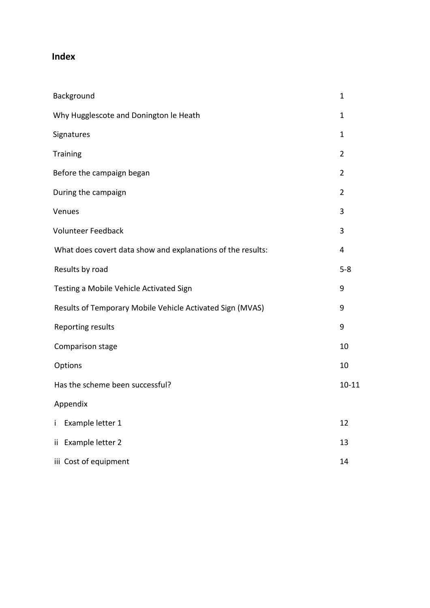### **Index**

| Background                                                  | $\mathbf{1}$   |
|-------------------------------------------------------------|----------------|
| Why Hugglescote and Donington le Heath                      | $\mathbf{1}$   |
| <b>Signatures</b>                                           | $\mathbf{1}$   |
| <b>Training</b>                                             | $\overline{2}$ |
| Before the campaign began                                   | $\overline{2}$ |
| During the campaign                                         | $\overline{2}$ |
| Venues                                                      | 3              |
| Volunteer Feedback                                          | 3              |
| What does covert data show and explanations of the results: | 4              |
| Results by road                                             | $5 - 8$        |
| Testing a Mobile Vehicle Activated Sign                     | 9              |
| Results of Temporary Mobile Vehicle Activated Sign (MVAS)   | 9              |
| Reporting results                                           | 9              |
| Comparison stage                                            | 10             |
| Options                                                     | 10             |
| Has the scheme been successful?                             | $10 - 11$      |
| Appendix                                                    |                |
| Example letter 1<br>İ.                                      | 12             |
| ii Example letter 2                                         | 13             |
| iii Cost of equipment                                       | 14             |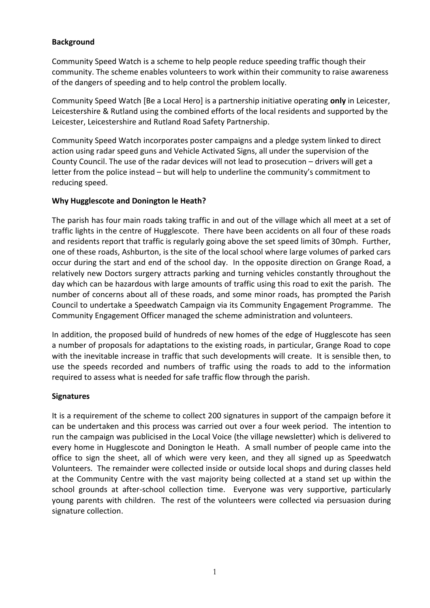#### **Background**

Community Speed Watch is a scheme to help people reduce speeding traffic though their community. The scheme enables volunteers to work within their community to raise awareness of the dangers of speeding and to help control the problem locally.

Community Speed Watch [Be a Local Hero] is a partnership initiative operating **only** in Leicester, Leicestershire & Rutland using the combined efforts of the local residents and supported by the Leicester, Leicestershire and Rutland Road Safety Partnership.

Community Speed Watch incorporates poster campaigns and a pledge system linked to direct action using radar speed guns and Vehicle Activated Signs, all under the supervision of the County Council. The use of the radar devices will not lead to prosecution – drivers will get a letter from the police instead – but will help to underline the community's commitment to reducing speed.

#### **Why Hugglescote and Donington le Heath?**

The parish has four main roads taking traffic in and out of the village which all meet at a set of traffic lights in the centre of Hugglescote. There have been accidents on all four of these roads and residents report that traffic is regularly going above the set speed limits of 30mph. Further, one of these roads, Ashburton, is the site of the local school where large volumes of parked cars occur during the start and end of the school day. In the opposite direction on Grange Road, a relatively new Doctors surgery attracts parking and turning vehicles constantly throughout the day which can be hazardous with large amounts of traffic using this road to exit the parish. The number of concerns about all of these roads, and some minor roads, has prompted the Parish Council to undertake a Speedwatch Campaign via its Community Engagement Programme. The Community Engagement Officer managed the scheme administration and volunteers.

In addition, the proposed build of hundreds of new homes of the edge of Hugglescote has seen a number of proposals for adaptations to the existing roads, in particular, Grange Road to cope with the inevitable increase in traffic that such developments will create. It is sensible then, to use the speeds recorded and numbers of traffic using the roads to add to the information required to assess what is needed for safe traffic flow through the parish.

#### **Signatures**

It is a requirement of the scheme to collect 200 signatures in support of the campaign before it can be undertaken and this process was carried out over a four week period. The intention to run the campaign was publicised in the Local Voice (the village newsletter) which is delivered to every home in Hugglescote and Donington le Heath. A small number of people came into the office to sign the sheet, all of which were very keen, and they all signed up as Speedwatch Volunteers. The remainder were collected inside or outside local shops and during classes held at the Community Centre with the vast majority being collected at a stand set up within the school grounds at after-school collection time. Everyone was very supportive, particularly young parents with children. The rest of the volunteers were collected via persuasion during signature collection.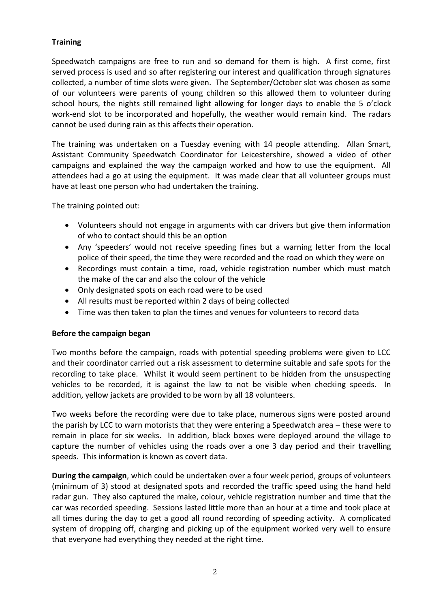#### **Training**

Speedwatch campaigns are free to run and so demand for them is high. A first come, first served process is used and so after registering our interest and qualification through signatures collected, a number of time slots were given. The September/October slot was chosen as some of our volunteers were parents of young children so this allowed them to volunteer during school hours, the nights still remained light allowing for longer days to enable the 5 o'clock work-end slot to be incorporated and hopefully, the weather would remain kind. The radars cannot be used during rain as this affects their operation.

The training was undertaken on a Tuesday evening with 14 people attending. Allan Smart, Assistant Community Speedwatch Coordinator for Leicestershire, showed a video of other campaigns and explained the way the campaign worked and how to use the equipment. All attendees had a go at using the equipment. It was made clear that all volunteer groups must have at least one person who had undertaken the training.

The training pointed out:

- Volunteers should not engage in arguments with car drivers but give them information of who to contact should this be an option
- Any 'speeders' would not receive speeding fines but a warning letter from the local police of their speed, the time they were recorded and the road on which they were on
- Recordings must contain a time, road, vehicle registration number which must match the make of the car and also the colour of the vehicle
- Only designated spots on each road were to be used
- All results must be reported within 2 days of being collected
- Time was then taken to plan the times and venues for volunteers to record data

#### **Before the campaign began**

Two months before the campaign, roads with potential speeding problems were given to LCC and their coordinator carried out a risk assessment to determine suitable and safe spots for the recording to take place. Whilst it would seem pertinent to be hidden from the unsuspecting vehicles to be recorded, it is against the law to not be visible when checking speeds. In addition, yellow jackets are provided to be worn by all 18 volunteers.

Two weeks before the recording were due to take place, numerous signs were posted around the parish by LCC to warn motorists that they were entering a Speedwatch area – these were to remain in place for six weeks. In addition, black boxes were deployed around the village to capture the number of vehicles using the roads over a one 3 day period and their travelling speeds. This information is known as covert data.

**During the campaign**, which could be undertaken over a four week period, groups of volunteers (minimum of 3) stood at designated spots and recorded the traffic speed using the hand held radar gun. They also captured the make, colour, vehicle registration number and time that the car was recorded speeding. Sessions lasted little more than an hour at a time and took place at all times during the day to get a good all round recording of speeding activity. A complicated system of dropping off, charging and picking up of the equipment worked very well to ensure that everyone had everything they needed at the right time.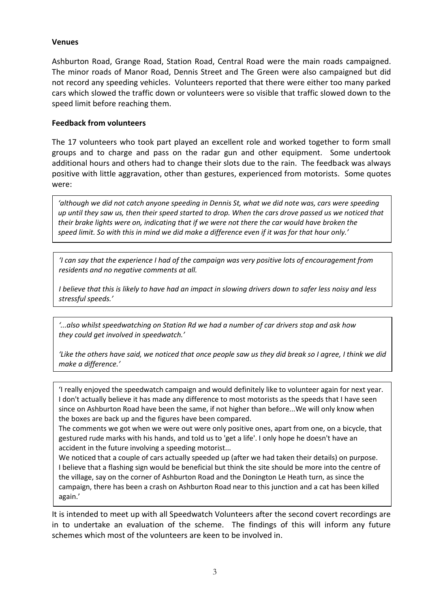#### **Venues**

Ashburton Road, Grange Road, Station Road, Central Road were the main roads campaigned. The minor roads of Manor Road, Dennis Street and The Green were also campaigned but did not record any speeding vehicles. Volunteers reported that there were either too many parked cars which slowed the traffic down or volunteers were so visible that traffic slowed down to the speed limit before reaching them.

#### **Feedback from volunteers**

The 17 volunteers who took part played an excellent role and worked together to form small groups and to charge and pass on the radar gun and other equipment. Some undertook additional hours and others had to change their slots due to the rain. The feedback was always positive with little aggravation, other than gestures, experienced from motorists. Some quotes were:

*'although we did not catch anyone speeding in Dennis St, what we did note was, cars were speeding up until they saw us, then their speed started to drop. When the cars drove passed us we noticed that their brake lights were on, indicating that if we were not there the car would have broken the speed limit. So with this in mind we did make a difference even if it was for that hour only.'*

*'I can say that the experience I had of the campaign was very positive lots of encouragement from residents and no negative comments at all.* 

*I believe that this is likely to have had an impact in slowing drivers down to safer less noisy and less stressful speeds.'*

*'...also whilst speedwatching on Station Rd we had a number of car drivers stop and ask how they could get involved in speedwatch.'*

*'Like the others have said, we noticed that once people saw us they did break so I agree, I think we did make a difference.'*

'I really enjoyed the speedwatch campaign and would definitely like to volunteer again for next year. I don't actually believe it has made any difference to most motorists as the speeds that I have seen since on Ashburton Road have been the same, if not higher than before...We will only know when the boxes are back up and the figures have been compared.

The comments we got when we were out were only positive ones, apart from one, on a bicycle, that gestured rude marks with his hands, and told us to 'get a life'. I only hope he doesn't have an accident in the future involving a speeding motorist...

We noticed that a couple of cars actually speeded up (after we had taken their details) on purpose. I believe that a flashing sign would be beneficial but think the site should be more into the centre of the village, say on the corner of Ashburton Road and the Donington Le Heath turn, as since the campaign, there has been a crash on Ashburton Road near to this junction and a cat has been killed again.'

It is intended to meet up with all Speedwatch Volunteers after the second covert recordings are in to undertake an evaluation of the scheme. The findings of this will inform any future schemes which most of the volunteers are keen to be involved in.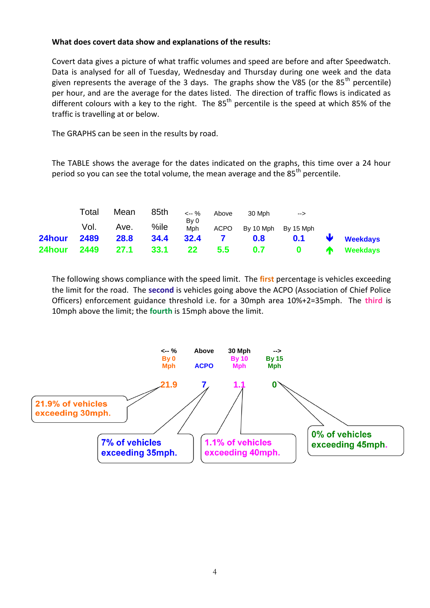#### **What does covert data show and explanations of the results:**

Covert data gives a picture of what traffic volumes and speed are before and after Speedwatch. Data is analysed for all of Tuesday, Wednesday and Thursday during one week and the data given represents the average of the 3 days. The graphs show the V85 (or the 85<sup>th</sup> percentile) per hour, and are the average for the dates listed. The direction of traffic flows is indicated as different colours with a key to the right. The  $85<sup>th</sup>$  percentile is the speed at which 85% of the traffic is travelling at or below.

The GRAPHS can be seen in the results by road.

The TABLE shows the average for the dates indicated on the graphs, this time over a 24 hour period so you can see the total volume, the mean average and the  $85<sup>th</sup>$  percentile.

|        | Total | Mean | 85th    | <-- %           | Above          | 30 Mph                       | -->     |                       |
|--------|-------|------|---------|-----------------|----------------|------------------------------|---------|-----------------------|
|        | Vol.  | Ave. | $%$ ile | By 0            |                | Mph ACPO By 10 Mph By 15 Mph |         |                       |
| 24hour | 2489  | 28.8 | 34.4    | 32.4            | $\overline{7}$ | 0.8                          |         | $0.1$ <b>Weekdays</b> |
| 24hour | 2449  | 27.1 | 33.1    | 22 <sub>2</sub> | 5.5            |                              | $0.7$ 0 | <b>The Weekdays</b>   |

The following shows compliance with the speed limit. The **first** percentage is vehicles exceeding the limit for the road. The **second** is vehicles going above the ACPO (Association of Chief Police Officers) enforcement guidance threshold i.e. for a 30mph area 10%+2=35mph. The **third** is 10mph above the limit; the **fourth** is 15mph above the limit.

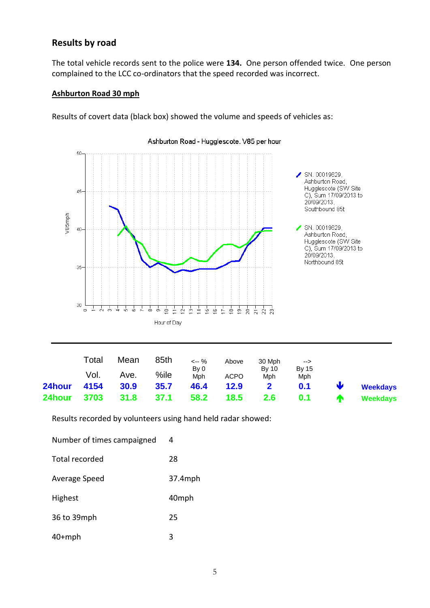#### **Results by road**

The total vehicle records sent to the police were **134.** One person offended twice. One person complained to the LCC co-ordinators that the speed recorded was incorrect.

#### **Ashburton Road 30 mph**

Results of covert data (black box) showed the volume and speeds of vehicles as:



|             | Total  | Mean | 85th    | <-- %       | Above       | 30 Mph                | -->                 |              |                 |
|-------------|--------|------|---------|-------------|-------------|-----------------------|---------------------|--------------|-----------------|
|             | Vol. I | Ave. | $%$ ile | By 0<br>Mph | <b>ACPO</b> | Bv 10<br>Mph          | <b>By 15</b><br>Mph |              |                 |
| 24hour 4154 |        | 30.9 | 35.7    | 46.4        | 12.9        | $\overline{2}$        | 0.1                 | $\mathbf{v}$ | <b>Weekdays</b> |
| 24hour      | 3703   | 31.8 | 37.1    | 58.2        |             | 18.5 2.6 0.1 <b>个</b> |                     |              | Weekdays        |

Results recorded by volunteers using hand held radar showed:

| Number of times campaigned | 4       |
|----------------------------|---------|
| Total recorded             | 28      |
| Average Speed              | 37.4mph |
| <b>Highest</b>             | 40mph   |
| 36 to 39mph                | 25      |
| $40+mph$                   | 3       |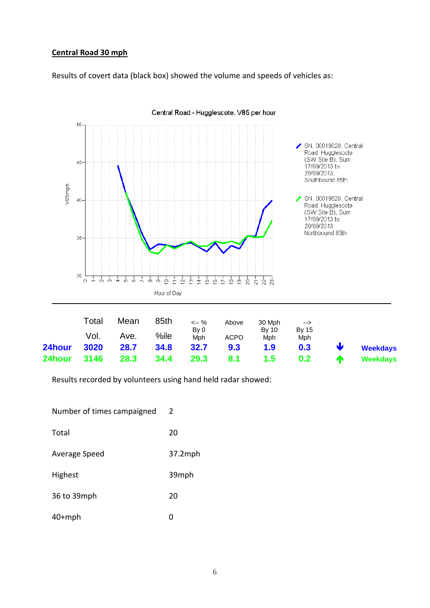#### **Central Road 30 mph**

Results of covert data (black box) showed the volume and speeds of vehicles as:



Central Road - Hugglescote. V85 per hour

Results recorded by volunteers using hand held radar showed:

| Number of times campaigned | 2          |
|----------------------------|------------|
| Total                      | 20         |
| Average Speed              | $37.2$ mph |
| Highest                    | 39mph      |
| 36 to 39mph                | 20         |
| $40+mph$                   | Ω          |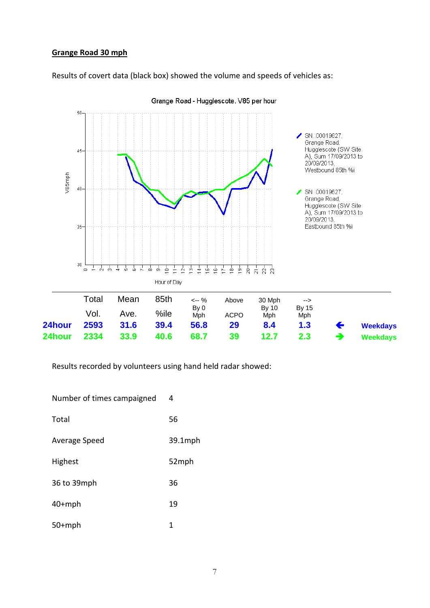#### **Grange Road 30 mph**

Results of covert data (black box) showed the volume and speeds of vehicles as:



Grange Road - Hugglescote. V85 per hour

Results recorded by volunteers using hand held radar showed:

| Number of times campaigned | 4       |
|----------------------------|---------|
| Total                      | 56      |
| Average Speed              | 39.1mph |
| Highest                    | 52mph   |
| 36 to 39mph                | 36      |
| $40+mph$                   | 19      |
| $50+mph$                   | 1       |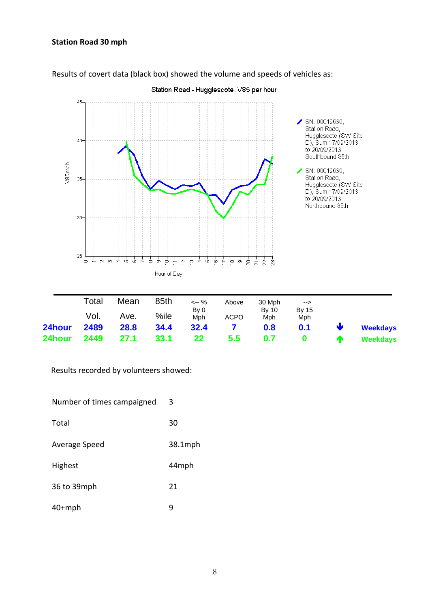#### **Station Road 30 mph**



Results of covert data (black box) showed the volume and speeds of vehicles as:

|        | Total | Mean        | 85th    | $\leftarrow$ %  | Above        | 30 Mph       | $\rightarrow$           |                   |                 |
|--------|-------|-------------|---------|-----------------|--------------|--------------|-------------------------|-------------------|-----------------|
|        | Vol.  | Ave.        | $%$ ile | By 0<br>Mph     | <b>ACPO</b>  | By 10<br>Mph | <b>By 15</b><br>Mph     |                   |                 |
| 24hour | 2489  | <b>28.8</b> | 34.4    | 32.4            | $\mathbf{Z}$ | 0.8          | 0.1                     | $\mathbf \bullet$ | <b>Weekdays</b> |
| 24hour | 2449  | 27.1        | 33.1    | 22 <sub>2</sub> | 5.5          | 0.7          | $\overline{\mathbf{0}}$ | $\bullet$         | <b>Weekdays</b> |

Results recorded by volunteers showed:

| Number of times campaigned | 3       |
|----------------------------|---------|
| Total                      | 30      |
| Average Speed              | 38.1mph |
| Highest                    | 44mph   |
| 36 to 39mph                | 21      |
| $40+mph$                   | q       |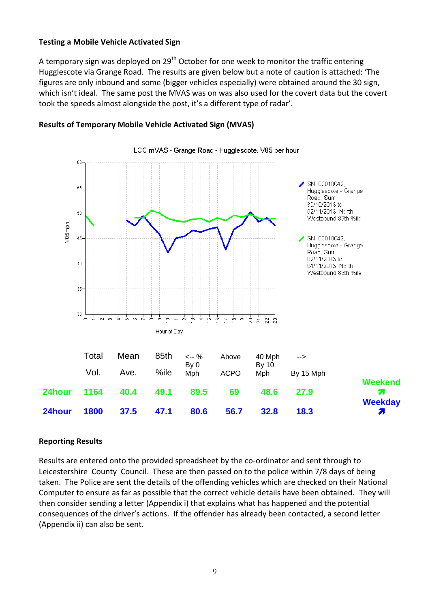#### **Testing a Mobile Vehicle Activated Sign**

A temporary sign was deployed on 29<sup>th</sup> October for one week to monitor the traffic entering Hugglescote via Grange Road. The results are given below but a note of caution is attached: 'The figures are only inbound and some (bigger vehicles especially) were obtained around the 30 sign, which isn't ideal. The same post the MVAS was on was also used for the covert data but the covert took the speeds almost alongside the post, it's a different type of radar'.



#### **Results of Temporary Mobile Vehicle Activated Sign (MVAS)**

#### **Reporting Results**

Results are entered onto the provided spreadsheet by the co-ordinator and sent through to Leicestershire County Council. These are then passed on to the police within 7/8 days of being taken. The Police are sent the details of the offending vehicles which are checked on their National Computer to ensure as far as possible that the correct vehicle details have been obtained. They will then consider sending a letter (Appendix i) that explains what has happened and the potential consequences of the driver's actions. If the offender has already been contacted, a second letter (Appendix ii) can also be sent.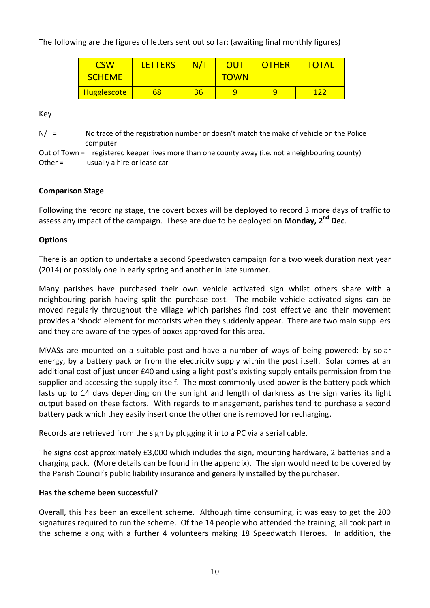The following are the figures of letters sent out so far: (awaiting final monthly figures)

| <b>CSW</b>         | <b>LETTERS</b> | N/T | OUT         | <b>OTHER</b> | TOTAL |
|--------------------|----------------|-----|-------------|--------------|-------|
| <b>SCHEME</b>      |                |     | <b>TOWN</b> |              |       |
| <b>Hugglescote</b> | 68             | 36  | q           |              |       |

Key

 $N/T =$  No trace of the registration number or doesn't match the make of vehicle on the Police computer

Out of Town = registered keeper lives more than one county away (i.e. not a neighbouring county) Other = usually a hire or lease car

#### **Comparison Stage**

Following the recording stage, the covert boxes will be deployed to record 3 more days of traffic to assess any impact of the campaign. These are due to be deployed on **Monday, 2nd Dec**.

#### **Options**

There is an option to undertake a second Speedwatch campaign for a two week duration next year (2014) or possibly one in early spring and another in late summer.

Many parishes have purchased their own vehicle activated sign whilst others share with a neighbouring parish having split the purchase cost. The mobile vehicle activated signs can be moved regularly throughout the village which parishes find cost effective and their movement provides a 'shock' element for motorists when they suddenly appear. There are two main suppliers and they are aware of the types of boxes approved for this area.

MVASs are mounted on a suitable post and have a number of ways of being powered: by solar energy, by a battery pack or from the electricity supply within the post itself. Solar comes at an additional cost of just under £40 and using a light post's existing supply entails permission from the supplier and accessing the supply itself. The most commonly used power is the battery pack which lasts up to 14 days depending on the sunlight and length of darkness as the sign varies its light output based on these factors. With regards to management, parishes tend to purchase a second battery pack which they easily insert once the other one is removed for recharging.

Records are retrieved from the sign by plugging it into a PC via a serial cable.

The signs cost approximately £3,000 which includes the sign, mounting hardware, 2 batteries and a charging pack. (More details can be found in the appendix). The sign would need to be covered by the Parish Council's public liability insurance and generally installed by the purchaser.

#### **Has the scheme been successful?**

Overall, this has been an excellent scheme. Although time consuming, it was easy to get the 200 signatures required to run the scheme. Of the 14 people who attended the training, all took part in the scheme along with a further 4 volunteers making 18 Speedwatch Heroes. In addition, the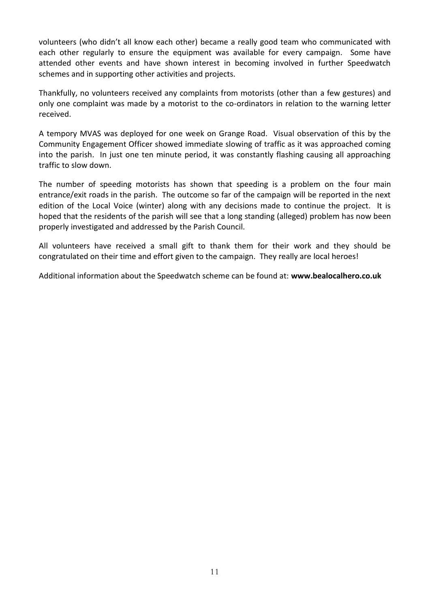volunteers (who didn't all know each other) became a really good team who communicated with each other regularly to ensure the equipment was available for every campaign. Some have attended other events and have shown interest in becoming involved in further Speedwatch schemes and in supporting other activities and projects.

Thankfully, no volunteers received any complaints from motorists (other than a few gestures) and only one complaint was made by a motorist to the co-ordinators in relation to the warning letter received.

A tempory MVAS was deployed for one week on Grange Road. Visual observation of this by the Community Engagement Officer showed immediate slowing of traffic as it was approached coming into the parish. In just one ten minute period, it was constantly flashing causing all approaching traffic to slow down.

The number of speeding motorists has shown that speeding is a problem on the four main entrance/exit roads in the parish. The outcome so far of the campaign will be reported in the next edition of the Local Voice (winter) along with any decisions made to continue the project. It is hoped that the residents of the parish will see that a long standing (alleged) problem has now been properly investigated and addressed by the Parish Council.

All volunteers have received a small gift to thank them for their work and they should be congratulated on their time and effort given to the campaign. They really are local heroes!

Additional information about the Speedwatch scheme can be found at: **www.bealocalhero.co.uk**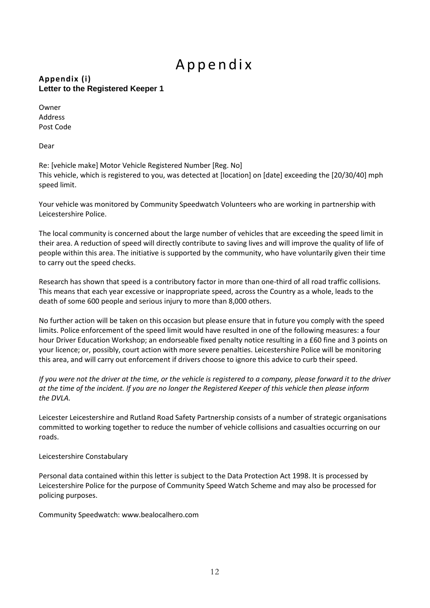## A p p e n d i x

#### **Appendix (i) Letter to the Registered Keeper 1**

Owner Address Post Code

Dear

Re: [vehicle make] Motor Vehicle Registered Number [Reg. No] This vehicle, which is registered to you, was detected at [location] on [date] exceeding the [20/30/40] mph speed limit.

Your vehicle was monitored by Community Speedwatch Volunteers who are working in partnership with Leicestershire Police.

The local community is concerned about the large number of vehicles that are exceeding the speed limit in their area. A reduction of speed will directly contribute to saving lives and will improve the quality of life of people within this area. The initiative is supported by the community, who have voluntarily given their time to carry out the speed checks.

Research has shown that speed is a contributory factor in more than one-third of all road traffic collisions. This means that each year excessive or inappropriate speed, across the Country as a whole, leads to the death of some 600 people and serious injury to more than 8,000 others.

No further action will be taken on this occasion but please ensure that in future you comply with the speed limits. Police enforcement of the speed limit would have resulted in one of the following measures: a four hour Driver Education Workshop; an endorseable fixed penalty notice resulting in a £60 fine and 3 points on your licence; or, possibly, court action with more severe penalties. Leicestershire Police will be monitoring this area, and will carry out enforcement if drivers choose to ignore this advice to curb their speed.

*If you were not the driver at the time, or the vehicle is registered to a company, please forward it to the driver at the time of the incident. If you are no longer the Registered Keeper of this vehicle then please inform the DVLA.*

Leicester Leicestershire and Rutland Road Safety Partnership consists of a number of strategic organisations committed to working together to reduce the number of vehicle collisions and casualties occurring on our roads.

Leicestershire Constabulary

Personal data contained within this letter is subject to the Data Protection Act 1998. It is processed by Leicestershire Police for the purpose of Community Speed Watch Scheme and may also be processed for policing purposes.

Community Speedwatch: www.bealocalhero.com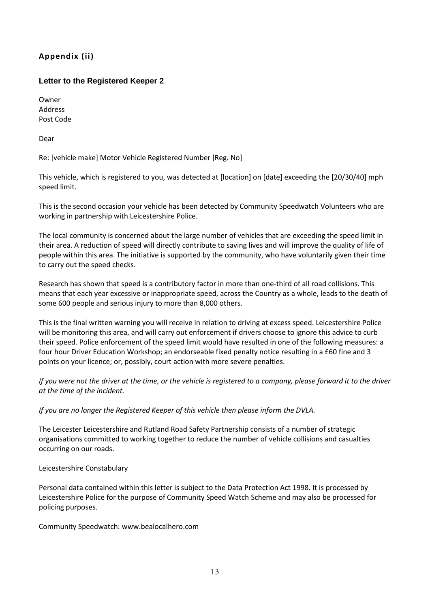#### **Appendix (ii)**

#### **Letter to the Registered Keeper 2**

Owner Address Post Code

Dear

Re: [vehicle make] Motor Vehicle Registered Number [Reg. No]

This vehicle, which is registered to you, was detected at [location] on [date] exceeding the [20/30/40] mph speed limit.

This is the second occasion your vehicle has been detected by Community Speedwatch Volunteers who are working in partnership with Leicestershire Police.

The local community is concerned about the large number of vehicles that are exceeding the speed limit in their area. A reduction of speed will directly contribute to saving lives and will improve the quality of life of people within this area. The initiative is supported by the community, who have voluntarily given their time to carry out the speed checks.

Research has shown that speed is a contributory factor in more than one-third of all road collisions. This means that each year excessive or inappropriate speed, across the Country as a whole, leads to the death of some 600 people and serious injury to more than 8,000 others.

This is the final written warning you will receive in relation to driving at excess speed. Leicestershire Police will be monitoring this area, and will carry out enforcement if drivers choose to ignore this advice to curb their speed. Police enforcement of the speed limit would have resulted in one of the following measures: a four hour Driver Education Workshop; an endorseable fixed penalty notice resulting in a £60 fine and 3 points on your licence; or, possibly, court action with more severe penalties.

*If you were not the driver at the time, or the vehicle is registered to a company, please forward it to the driver at the time of the incident.*

*If you are no longer the Registered Keeper of this vehicle then please inform the DVLA.*

The Leicester Leicestershire and Rutland Road Safety Partnership consists of a number of strategic organisations committed to working together to reduce the number of vehicle collisions and casualties occurring on our roads.

#### Leicestershire Constabulary

Personal data contained within this letter is subject to the Data Protection Act 1998. It is processed by Leicestershire Police for the purpose of Community Speed Watch Scheme and may also be processed for policing purposes.

Community Speedwatch: www.bealocalhero.com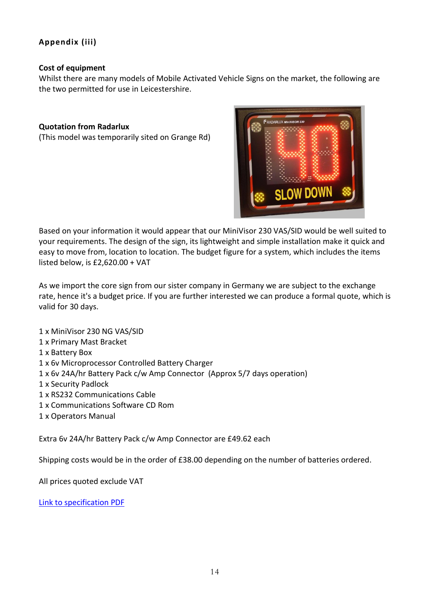#### **Appendix (iii)**

#### **Cost of equipment**

Whilst there are many models of Mobile Activated Vehicle Signs on the market, the following are the two permitted for use in Leicestershire.

#### **Quotation from Radarlux**

(This model was temporarily sited on Grange Rd)



Based on your information it would appear that our MiniVisor 230 VAS/SID would be well suited to your requirements. The design of the sign, its lightweight and simple installation make it quick and easy to move from, location to location. The budget figure for a system, which includes the items listed below, is £2,620.00 + VAT

As we import the core sign from our sister company in Germany we are subject to the exchange rate, hence it's a budget price. If you are further interested we can produce a formal quote, which is valid for 30 days.

1 x MiniVisor 230 NG VAS/SID 1 x Primary Mast Bracket 1 x Battery Box 1 x 6v Microprocessor Controlled Battery Charger 1 x 6v 24A/hr Battery Pack c/w Amp Connector (Approx 5/7 days operation) 1 x Security Padlock 1 x RS232 Communications Cable 1 x Communications Software CD Rom 1 x Operators Manual

Extra 6v 24A/hr Battery Pack c/w Amp Connector are £49.62 each

Shipping costs would be in the order of £38.00 depending on the number of batteries ordered.

All prices quoted exclude VAT

[Link to specification PDF](file:///C:\Users\Llynda\Documents\Parish%20Council\Parish%20Council\Speedwatch\MiniVisor%20230%20NG%20Introduction%20(2).pdf)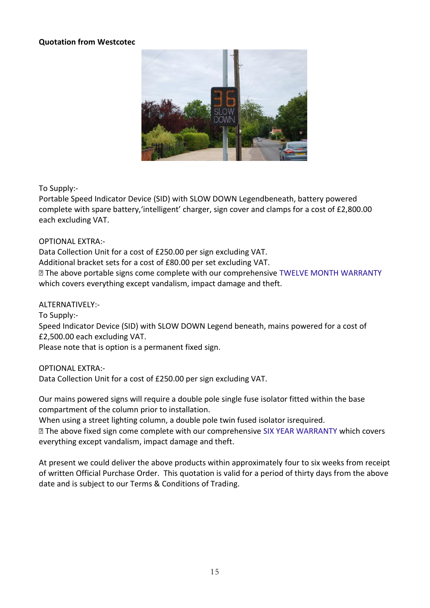#### **Quotation from Westcotec**



To Supply:-

Portable Speed Indicator Device (SID) with SLOW DOWN Legendbeneath, battery powered complete with spare battery,'intelligent' charger, sign cover and clamps for a cost of £2,800.00 each excluding VAT.

OPTIONAL EXTRA:-

Data Collection Unit for a cost of £250.00 per sign excluding VAT. Additional bracket sets for a cost of £80.00 per set excluding VAT. **The above portable signs come complete with our comprehensive TWELVE MONTH WARRANTY** which covers everything except vandalism, impact damage and theft.

ALTERNATIVELY:-

To Supply:-

Speed Indicator Device (SID) with SLOW DOWN Legend beneath, mains powered for a cost of £2,500.00 each excluding VAT.

Please note that is option is a permanent fixed sign.

OPTIONAL EXTRA:-

Data Collection Unit for a cost of £250.00 per sign excluding VAT.

Our mains powered signs will require a double pole single fuse isolator fitted within the base compartment of the column prior to installation.

When using a street lighting column, a double pole twin fused isolator isrequired.

The above fixed sign come complete with our comprehensive SIX YEAR WARRANTY which covers everything except vandalism, impact damage and theft.

At present we could deliver the above products within approximately four to six weeks from receipt of written Official Purchase Order. This quotation is valid for a period of thirty days from the above date and is subject to our Terms & Conditions of Trading.